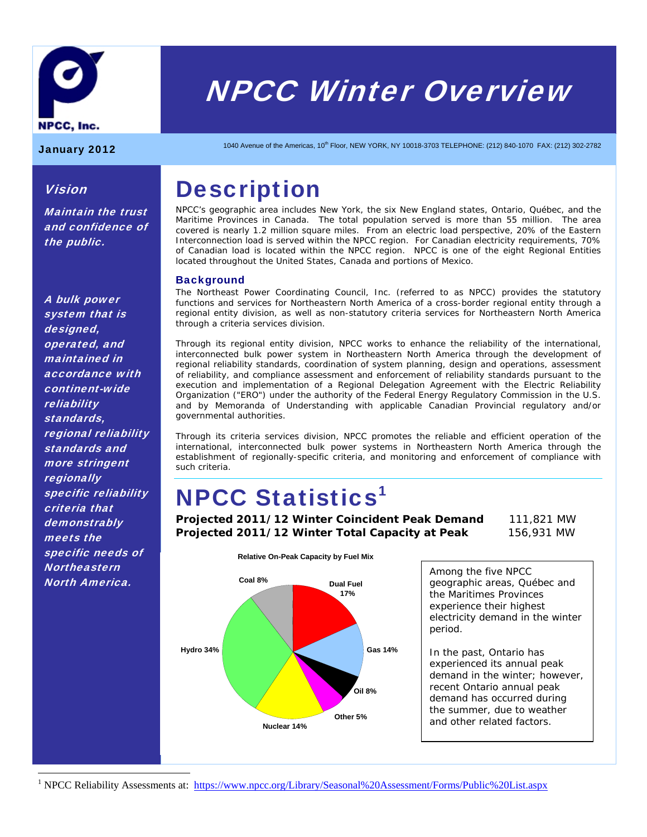

# NPCC Winter Overview

Vision

the public.

Maintain the trust and confidence of

January 2012 1040 Avenue of the Americas, 10<sup>th</sup> Floor, NEW YORK, NY 10018-3703 TELEPHONE: (212) 840-1070 FAX: (212) 302-2782

# **Description**

NPCC's geographic area includes New York, the six New England states, Ontario, Québec, and the Maritime Provinces in Canada. The total population served is more than 55 million. The area covered is nearly 1.2 million square miles. From an electric load perspective, 20% of the Eastern Interconnection load is served within the NPCC region. For Canadian electricity requirements, 70% of Canadian load is located within the NPCC region. NPCC is one of the eight Regional Entities located throughout the United States, Canada and portions of Mexico.

# **Background**

The Northeast Power Coordinating Council, Inc. (referred to as NPCC) provides the statutory functions and services for Northeastern North America of a cross-border regional entity through a regional entity division, as well as non-statutory criteria services for Northeastern North America through a criteria services division.

Through its regional entity division, NPCC works to enhance the reliability of the international, interconnected bulk power system in Northeastern North America through the development of regional reliability standards, coordination of system planning, design and operations, assessment of reliability, and compliance assessment and enforcement of reliability standards pursuant to the execution and implementation of a Regional Delegation Agreement with the Electric Reliability Organization ("ERO") under the authority of the Federal Energy Regulatory Commission in the U.S. and by Memoranda of Understanding with applicable Canadian Provincial regulatory and/or governmental authorities.

Through its criteria services division, NPCC promotes the reliable and efficient operation of the international, interconnected bulk power systems in Northeastern North America through the establishment of regionally-specific criteria, and monitoring and enforcement of compliance with such criteria.

# **NPCC Statistics<sup>1</sup>**

**Projected 2011/12 Winter Coincident Peak Demand** 111,821 MW **Projected 2011/12 Winter Total Capacity at Peak** 156,931 MW



Among the five NPCC geographic areas, Québec and the Maritimes Provinces experience their highest electricity demand in the winter period.

In the past, Ontario has experienced its annual peak demand in the winter; however, recent Ontario annual peak demand has occurred during the summer, due to weather and other related factors.

<sup>1</sup> NPCC Reliability Assessments at: https://www.npcc.org/Library/Seasonal%20Assessment/Forms/Public%20List.aspx

A bulk power system that is designed, operated, and maintained in accordance with continent-wide reliability standards, regional reliability standards and more stringent **regionally** specific reliability criteria that demonstrably meets the specific needs of **Northeastern** North America.

 $\overline{a}$